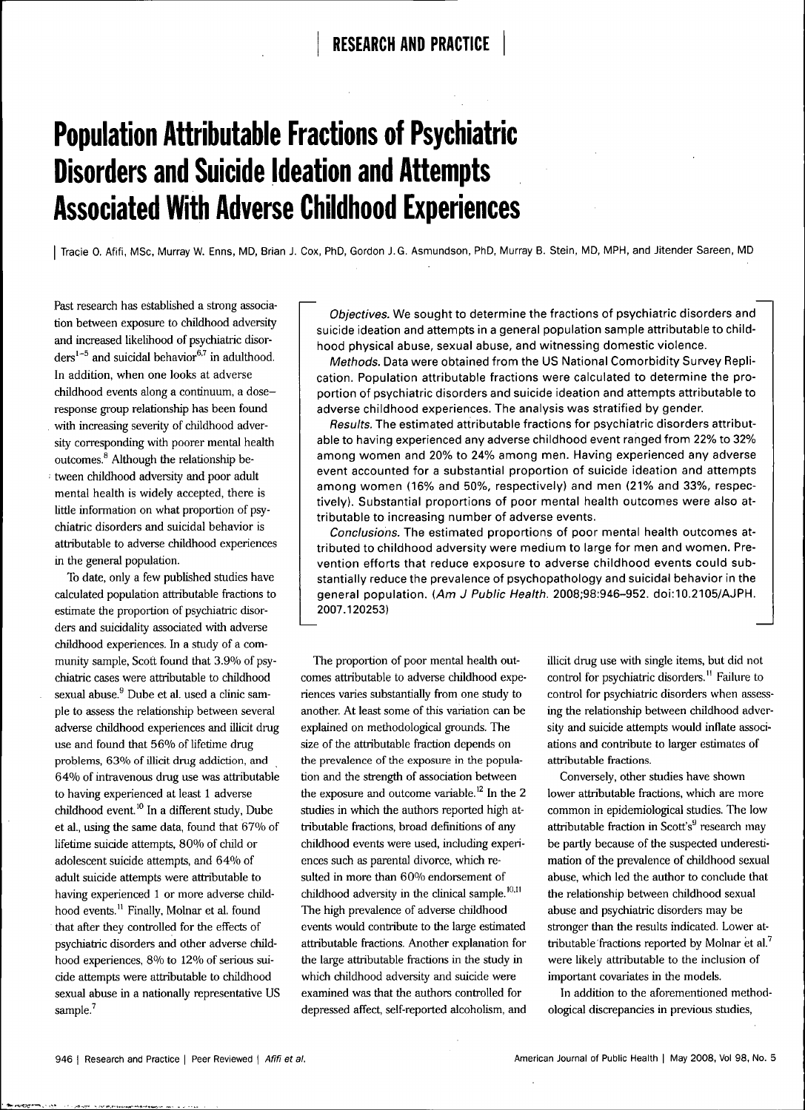# **Population Attributable Fractions of Psychiatric Disorders and Suicide Ideation and Attempts Associated With Adverse Childhood Experiences**

Tracie O. Afifi, MSc, Murray W. Enns, MD, Brian J. Cox, PhD, Gordon J. G. Asmundson, PhD, Murray B. Stein, MD, MPH, and Jitender Sareen, MD

Past research has established a strong association between exposure to childhood adversity and increased likelihood of psychiatric disorders<sup>1-5</sup> and suicidal behavior<sup>6,7</sup> in adulthood. In addition, when one looks at adverse childhood events along a continuum, a doseresponse group relationship has been found with increasing severity of childhood adversity corresponding with poorer mental health outcomes.<sup>8</sup> Although the relationship be-• tween childhood adversity and poor adult mental health is widely accepted, there is little information on what proportion of psychiatric disorders and suicidal behavior is attributable to adverse childhood experiences in the general population.

To date, only a few published studies have calculated population attributable fractions to estimate the proportion of psychiatric disorders and suicidaiity associated with adverse childhood experiences. In a study of a community sample, Scott found that 3.9% of psychiatric cases were attributable to childhood sexual abuse.<sup>9</sup> Dube et al. used a clinic sample to assess the relationship between several adverse childhood experiences and illicit drug use and found that 56% of lifetime drug problems, 63% of illicit drug addiction, and 64% of intravenous drug use was attributable to having experienced at least 1 adverse childhood event.<sup>10</sup> In a different study, Dube et al., using the same data, found that 67% of lifetime suicide attempts, 80% of child or adolescent suicide attempts, and 64% of adult suicide attempts were attributable to having experienced 1 or more adverse childhood events.<sup>11</sup> Finally, Molnar et al. found that after they controlled for the effects of psychiatric disorders and other adverse childhood experiences, 8% to 12% of serious suicide attempts were attributable to childhood sexual abuse in a nationally representative US sample.<sup>7</sup>

Objectives. We sought to determine the fractions of psychiatric disorders and suicide ideation and attempts in a general population sample attributable to childhood physical abuse, sexual abuse, and witnessing domestic violence.

Methods. Data were obtained from the US National Comorbidity Survey Replication. Population attributable fractions were calculated to determine the proportion of psychiatric disorders and suicide ideation and attempts attributable to adverse childhood experiences. The analysis was stratified by gender.

Results. The estimated attributable fractions for psychiatric disorders attributable to having experienced any adverse childhood event ranged from 22% to 32% among women and 20% to 24% among men. Having experienced any adverse event accounted for a substantial proportion of suicide ideation and attempts among women (16% and 50%, respectively) and men (21% and 33%, respectively). Substantial proportions of poor mental health outcomes were also attributable to increasing number of adverse events.

Conclusions. The estimated proportions of poor mental health outcomes attributed to childhood adversity were medium to large for men and women. Prevention efforts that reduce exposure to adverse childhood events could substantially reduce the prevalence of psychopathology and suicidal behavior in the general population. (Am J Public Health. 2008;98:946-952. doi:10.2105/AJPH. 2007.120253)

The proportion of poor mental health outcomes attributable to adverse childhood experiences varies substantially from one study to another. At least some of this variation can be explained on methodological grounds. The size of the attributable fraction depends on the prevalence of the exposure in the population and the strength of association between the exposure and outcome variable.<sup>12</sup> In the 2 studies in which the authors reported high attributable fractions, broad definitions of any childhood events were used, including experiences such as parental divorce, which resulted in more than 60% endorsement of childhood adversity in the clinical sample. $^{10,11}$ The high prevalence of adverse childhood events would contribute to the large estimated attributable fractions. Another explanation for the large attributable fractions in the study in which childhood adversity and suicide were examined was that the authors controlled for depressed affect, self-reported alcoholism, and

illicit drug use with single items, but did not control for psychiatric disorders." Failure to control for psychiatric disorders when assessing the relationship between childhood adversity and suicide attempts would inflate associations and contribute to larger estimates of attributable fractions.

Conversely, other studies have shown lower attributable fractions, which are more common in epidemiological studies. The low attributable fraction in Scott's $9$  research may be partly because of the suspected underestimation of the prevalence of childhood sexual abuse, which led the author to conclude that the relationship between childhood sexual abuse and psychiatric disorders may be stronger than the results indicated. Lower attributable fractions reported by Molnar et al.' were likely attributable to the inclusion of important covariates in the models.

In addition to the aforementioned methodological discrepancies in previous studies.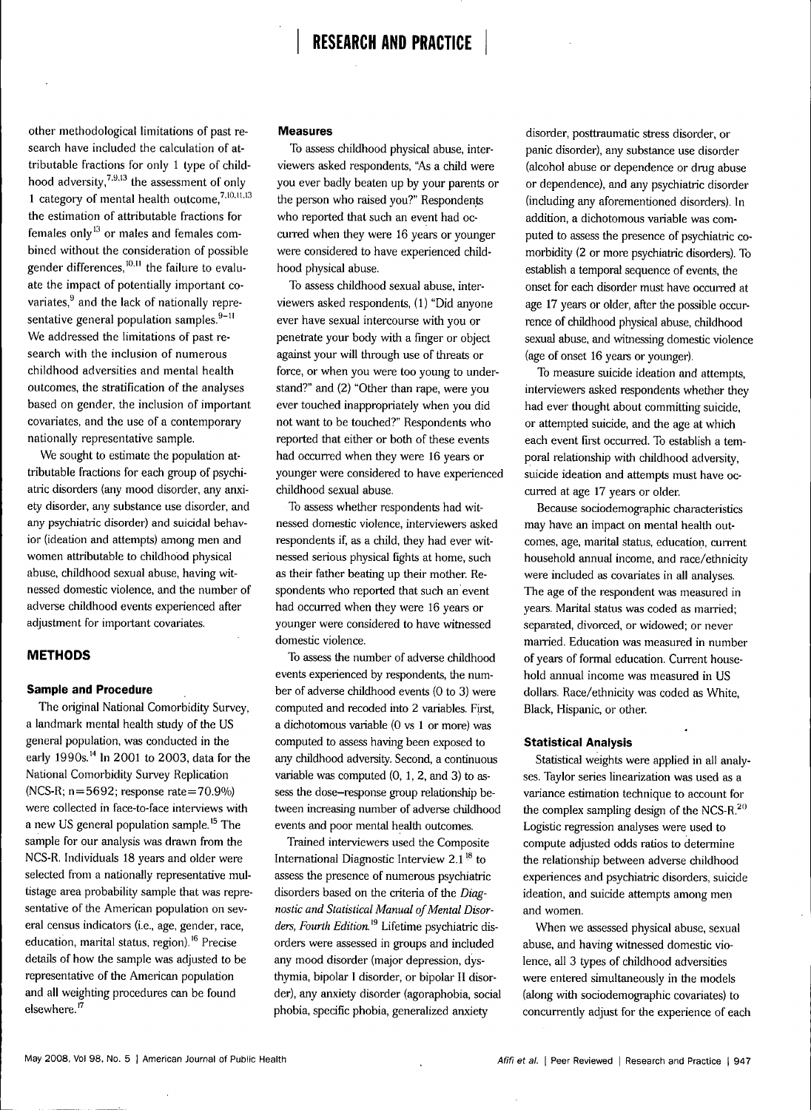# **RESEARCH AND PRACTICE**

other methodological limitations of past research have included the calculation of attributable fractions for only 1 type of childhood adversity, $^{7,9,13}$  the assessment of only 1 category of mental health outcome, $7,10,11,13$ the estimation of attributable fractions for females only $^{13}$  or males and females combined without the consideration of possible gender differences, $^{10,11}$  the failure to evaluate the impact of potentially important covariates, $9$  and the lack of nationally representative general population samples. $9-11$ We addressed the limitations of past research with the inclusion of numerous childhood adversities and mental health outcomes, the stratification of the analyses based on gender, the inclusion of important covariates, and the use of a contemporary nationally representative sample.

We sought to estimate the population attributable fractions for each group of psychiatric disorders (any mood disorder, any anxiety disorder, any substance use disorder, and any psychiatric disorder) and suicidal behavior (ideation and attempts) among men and women attributable to childhood physical abuse, childhood sexual abuse, having witnessed domestic violence, and the number of adverse childhood events experienced after adjustment for important covariates.

# **METHODS**

#### **Sample and Procedure**

The original National Comorbidity Survey, a landmark mental health study of the US general population, was conducted in the early 1990s.<sup>14</sup> In 2001 to 2003, data for the National Comorbidity Survey Replication (NCS-R; n = 5692; response rate=70.9%) were collected in face-to-face interviews with a new US general population sample.<sup>15</sup> The sample for our analysis was drawn from the NCS-R. Individuals 18 years and older were selected from a nationally representative multistage area probability sample that was representative of the American population on several census indicators (i.e., age, gender, race, education, marital status, region)."' Precise details of how the sample was adjusted to be representative of the American population and all weighting procedures can be found elsewhere.<sup>17</sup>

## **Measures**

To assess childhood physical abuse, interviewers asked respondents, "As a child were you ever badly beaten up by your parents or the person who raised you?" Respondents who reported that such an event had occurred when they were 16 years or younger were considered to have experienced childhood physical abuse.

To assess childhood sexual abuse, interviewers asked respondents, (1) "Did anyone ever have sexual intercourse with you or penetrate your body with a finger or object against your will through use of threats or force, or when you were too young to understand?" and (2) "Other than rape, were you ever touched inappropriately when you did not want to be touched?" Respondents who reported that either or both of these events had occurred when they were 16 years or younger were considered to have experienced childhood sexual abuse.

To assess whether respondents had witnessed domestic violence, interviewers asked respondents if, as a child, they had ever witnessed serious physical fights at home, such as their father beating up their mother. Respondents who reported that such an event had occurred when they were 16 years or younger were considered to have witnessed domestic violence.

To assess the number of adverse childhood events experienced by respondents, the number of adverse childhood events (0 to 3) were computed and recoded into 2 variables. First, a dichotomous variable (0 vs 1 or more) was computed to assess having been exposed to any childhood adversity. Second, a continuous variable was computed (0, 1, 2, and 3) to assess the dose-response group relationship between increasing number of adverse childhood events and poor mental health outcomes.

Trained interviewers used the Composite International Diagnostic Interview  $2.1<sup>18</sup>$  to assess the presence of numerous psychiatric disorders based on the criteria of the *Diagnostic and Statistical Manual of Mental Disorders, Fourth Edition."^* Lifetime psychiatric disorders were assessed in groups and included any mood disorder (major depression, dysthymia, bipolar I disorder, or bipolar II disorder), any anxiety disorder (agoraphobia, social phobia, specific phobia, generalized anxiety

disorder, posttraumatic stress disorder, or panic disorder), any substance use disorder (alcohol abuse or dependence or drug abuse or dependence), and any psychiatric disorder (including any aforementioned disorders). In addition, a dichotomous variable was computed to assess the presence of psychiatric comorbidity (2 or more psychiatric disorders). To establish a temporal sequence of events, the onset for each disorder must have occurred at age 17 years or older, after the possible occurrence of childhood physical abuse, childhood sexual abuse, and witnessing domestic violence (age of onset 16 years or younger).

To measure suicide ideation and attempts, interviewers asked respondents whether they had ever thought about committing suicide, or attempted suicide, and the age at which each event first occurred. To establish a temporal relationship with childhood adversity, suicide ideation and attempts must have occurred at age 17 years or older.

Because sociodemographic characteristics may have an impact on mental health outcomes, age, marital status, education, current household annual income, and race/ethnicity were included as covariates in all analyses. The age of the respondent was measured in years. Marital status was coded as married; separated, divorced, or widowed; or never married. Education was measured in number of years of formal education. Current household annual income was measured in US dollars. Race/ethnicity was coded as White, Black, Hispanic, or other.

### **Statistical Analysis**

Statistical weights were applied in all analyses. Taylor series linearization was used as a variance estimation technique to account for the complex sampling design of the NCS-R. $^{20}$ Logistic regression analyses were used to compute adjusted odds ratios to determine the relationship between adverse childhood experiences and psychiatric disorders, suicide ideation, and suicide attempts among men and women.

When we assessed physical abuse, sexual abuse, and having witnessed domestic violence, all 3 types of childhood adversities were entered simultaneously in the models (along with sociodemographic covariates) to concurrently adjust for the experience of each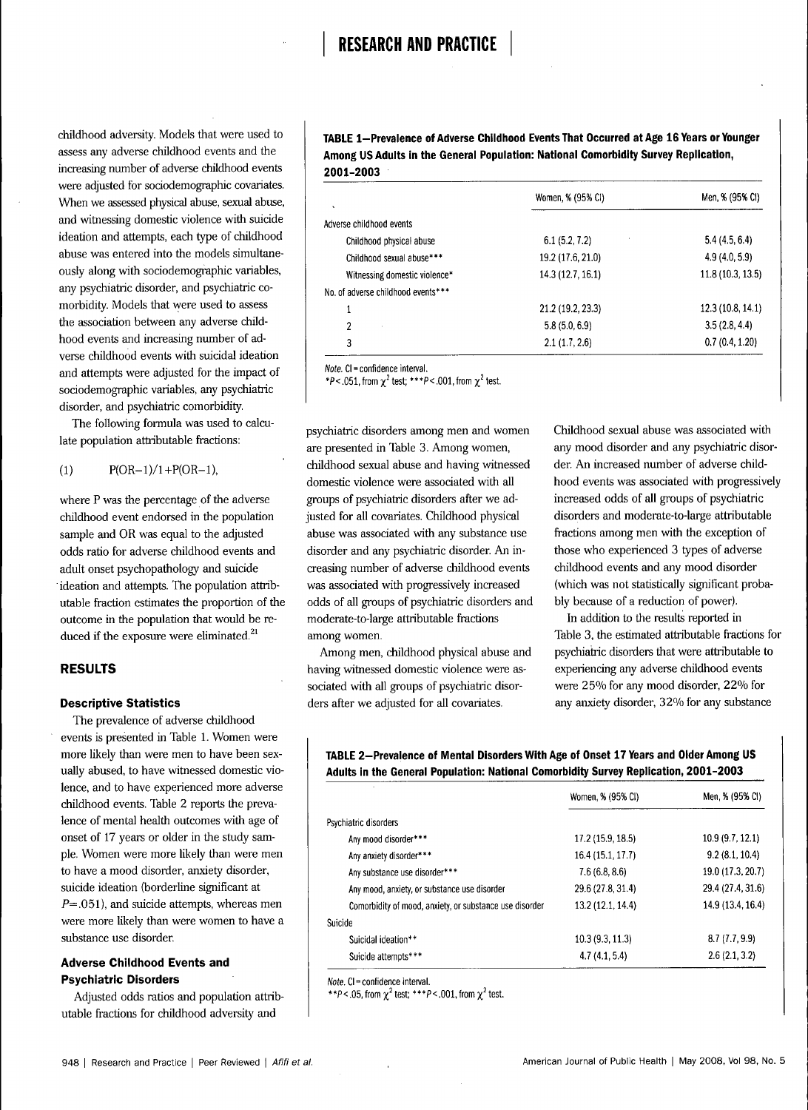childhood adversity. Models that were used to assess any adverse childhood events and the increasing number of adverse childhood events were adjusted for sociodemographic covariates. When we assessed physical abuse, sexual abuse, and witnessing domestic violence with suicide ideation and attempts, each type of childhood abuse was entered into the models simultaneously along with sociodemographic variables, any psychiatric disorder, and psychiatric comorbidity. Models that were used to assess the association between any adverse childhood events and increasing number of adverse childhood events with suicidal ideation and attempts were adjusted for the impact of sociodemographic variables, any psychiatric disorder, and psychiatric comorbidity.

The following formula was used to calculate population attributable fractions:

$$
(1) \tP(OR-1)/1 + P(OR-1),
$$

where P was the percentage of the adverse childhood event endorsed in the population sample and OR was equal to the adjusted odds ratio for adverse childhood events and adult onset psychopathology and suicide ideation and attempts. The population attributable fraction estimates the proportion of the outcome in the population that would be reduced if the exposure were eliminated.<sup>21</sup>

# **RESULTS**

## **Descriptive Statistics**

The prevalence of adverse childhood events is presented in Table 1. Women were more likely than were men to have been sexually abused, to have witnessed domestic violence, and to have experienced more adverse childhood events. Table 2 reports the prevalence of mental health outcomes with age of onset of 17 years or older in the study sample. Women were more likely than were men to have a mood disorder, anxiety disorder, suicide ideation (borderline significant at  $P=.051$ ), and suicide attempts, whereas men were more likely than were women to have a substance use disorder.

# **Adverse Childhood Events and Psychiatric Disorders**

Adjusted odds ratios and population attributable fractions for childhood adversity and

TABLE 1-Prevalence of Adverse Childhood Events That Occurred at Age 16 Years or Younger **Among US Adults in the Gênerai Population: Nationai Comorbidity Survey Repiicatlon, 2001-2003**

| $\lambda$                          | Women, % (95% CI) | Men, % (95% CI)   |
|------------------------------------|-------------------|-------------------|
| Adverse childhood events           |                   |                   |
| Childhood physical abuse           | 6.1(5.2, 7.2)     | 5.4(4.5, 6.4)     |
| Childhood sexual abuse***          | 19.2 (17.6, 21.0) | 4.9(4.0, 5.9)     |
| Witnessing domestic violence*      | 14.3 (12.7, 16.1) | 11.8(10.3, 13.5)  |
| No. of adverse childhood events*** |                   |                   |
| 1                                  | 21.2 (19.2, 23.3) | 12.3 (10.8, 14.1) |
| 2                                  | 5.8(5.0, 6.9)     | 3.5(2.8, 4.4)     |
| 3                                  | 2.1(1.7, 2.6)     | 0.7(0.4, 1.20)    |

Note. CI = confidence interval.

\*P < .051, from  $\chi^2$  test; \*\*\*P < .001, from  $\chi^2$  test.

psychiatric disorders among men and women are presented in Table 3. Among women, childhood sexual abuse and having witnessed domestic violence were associated with all groups of psychiatric disorders after we adjusted for all covariates. Childhood physical abuse was associated with any substance use disorder and any psychiatric disorder. An increasing number of adverse childhood events was associated with progressively increased odds of all groups of psychiatric disorders and moderate-to-large attributable fractions among women.

Among men, childhood physical abuse and having witnessed domestic violence were associated with all groups of psychiatric disorders after we adjusted for all covariates.

Childhood sexual abuse was associated with any mood disorder and any psychiatric disorder. An increased number of adverse childhood events was associated with progressively increased odds of all groups of psychiatric disorders and moderate-to-large attributable fractions among men with the exception of those who experienced 3 types of adverse childhood events and any mood disorder (which was not statistically significant probably because of a reduction of power).

In addition to the results reported in Table 3, the estimated attributable fractions for psychiatric disorders that were attributable to experiencing any adverse childhood events were 25% for any mood disorder, 22% for any anxiety disorder, 32% for any substance

# TABLE 2-Prevalence of Mental Disorders With Age of Onset 17 Years and Older Among US **Aduits in the Gênerai Popuiation: Nationai Comorbidity Survey Repiication, 2001-2003**

|                                                         | Women, % (95% CI) | Men, % (95% CI)   |
|---------------------------------------------------------|-------------------|-------------------|
| Psychiatric disorders                                   |                   |                   |
| Any mood disorder***                                    | 17.2 (15.9, 18.5) | 10.9(9.7, 12.1)   |
| Any anxiety disorder***                                 | 16.4 (15.1, 17.7) | 9.2(8.1, 10.4)    |
| Any substance use disorder***                           | 7.6(6.8, 8.6)     | 19.0 (17.3, 20.7) |
| Any mood, anxiety, or substance use disorder            | 29.6 (27.8, 31.4) | 29.4 (27.4, 31.6) |
| Comorbidity of mood, anxiety, or substance use disorder | 13.2 (12.1, 14.4) | 14.9 (13.4, 16.4) |
| Suicide                                                 |                   |                   |
| Suicidal ideation**                                     | 10.3(9.3, 11.3)   | 8.7(7.7, 9.9)     |
| Suicide attempts***                                     | 4.7(4.1, 5.4)     | 2.6(2.1, 3.2)     |

Note. Cl = confidence interval.

\*\*P < .05, from  $\chi^2$  test; \*\*\*P < .001, from  $\chi^2$  test.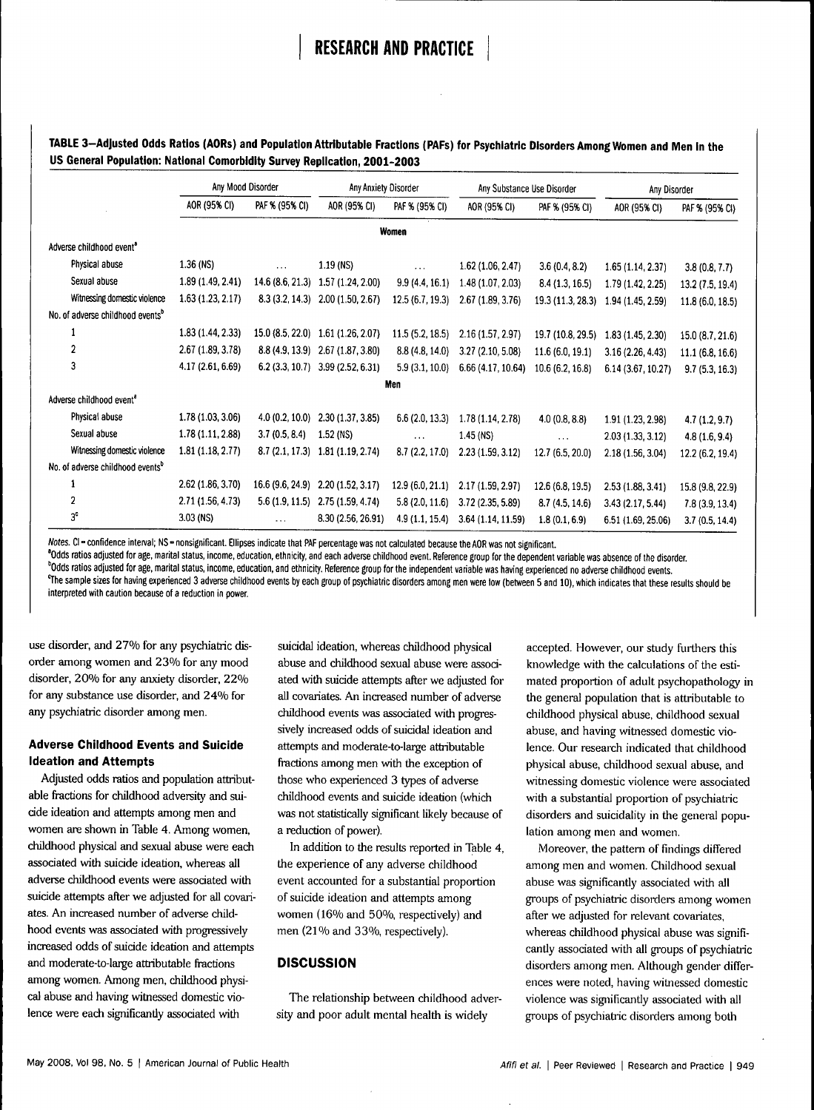# **RESEARCH AND PRACTICE**

| TABLE 3-Adjusted Odds Ratios (AORs) and Population Attributable Fractions (PAFs) for Psychiatric Disorders Among Women and Men in the |  |
|---------------------------------------------------------------------------------------------------------------------------------------|--|
| US General Population: National Comorbidity Survey Replication, 2001-2003                                                             |  |

|                                              | Any Mood Disorder |                   | Any Anxiety Disorder |                 | Any Substance Use Disorder |                   | Any Disorder       |                  |
|----------------------------------------------|-------------------|-------------------|----------------------|-----------------|----------------------------|-------------------|--------------------|------------------|
|                                              | AOR (95% CI)      | PAF % (95% CI)    | AOR (95% CI)         | PAF % (95% CI)  | AOR (95% CI)               | PAF % (95% CI)    | AOR (95% CI)       | PAF % (95% CI)   |
|                                              |                   |                   |                      | Women           |                            |                   |                    |                  |
| Adverse childhood event <sup>8</sup>         |                   |                   |                      |                 |                            |                   |                    |                  |
| Physical abuse                               | 1.36 (NS)         | $\cdots$          | $1.19$ (NS)          | $\cdots$        | 1.62(1.06, 2.47)           | 3.6(0.4, 8.2)     | 1.65(1.14, 2.37)   | 3.8(0.8, 7.7)    |
| Sexual abuse                                 | 1.89 (1.49, 2.41) | 14.6 (8.6, 21.3)  | 1.57 (1.24, 2.00)    | 9.9(4.4, 16.1)  | 1.48 (1.07, 2.03)          | 8.4(1.3, 16.5)    | 1.79 (1.42, 2.25)  | 13.2(7.5, 19.4)  |
| Witnessing domestic violence                 | 1.63(1.23, 2.17)  | 8.3(3.2, 14.3)    | 2.00(1.50, 2.67)     | 12.5(6.7, 19.3) | 2.67(1.89, 3.76)           | 19.3 (11.3, 28.3) | 1.94 (1.45, 2.59)  | 11.8(6.0, 18.5)  |
| No. of adverse childhood events <sup>b</sup> |                   |                   |                      |                 |                            |                   |                    |                  |
|                                              | 1.83(1.44, 2.33)  | 15.0 (8.5, 22.0)  | 1.61 (1.26, 2.07)    | 11.5(5.2, 18.5) | 2.16(1.57, 2.97)           | 19.7 (10.8, 29.5) | 1.83(1.45, 2.30)   | 15.0 (8.7, 21.6) |
| $\overline{2}$                               | 2.67(1.89, 3.78)  | 8.8(4.9, 13.9)    | 2.67 (1.87, 3.80)    | 8.8(4.8, 14.0)  | 3.27 (2.10, 5.08)          | 11.6(6.0, 19.1)   | 3.16(2.26, 4.43)   | 11.1(6.8, 16.6)  |
| 3                                            | 4.17 (2.61, 6.69) | $6.2$ (3.3, 10.7) | 3.99(2.52, 6.31)     | 5.9(3.1, 10.0)  | 6.66 (4.17, 10.64)         | 10.6(6.2, 16.8)   | 6.14 (3.67, 10.27) | 9.7(5.3, 16.3)   |
|                                              |                   |                   |                      | Men             |                            |                   |                    |                  |
| Adverse childhood event <sup>®</sup>         |                   |                   |                      |                 |                            |                   |                    |                  |
| Physical abuse                               | 1.78(1.03, 3.06)  | 4.0(0.2, 10.0)    | 2.30(1.37, 3.85)     | 6.6(2.0, 13.3)  | 1.78 (1.14, 2.78)          | 4.0(0.8, 8.8)     | 1.91 (1.23, 2.98)  | 4.7(1.2, 9.7)    |
| Sexual abuse                                 | 1.78(1.11, 2.88)  | 3.7(0.5, 8.4)     | $1.52$ (NS)          | $\cdots$        | 1.45 (NS)                  | $\ddotsc$         | 2.03(1.33, 3.12)   | 4.8(1.6, 9.4)    |
| Witnessing domestic violence                 | 1.81(1.18, 2.77)  | 8.7(2.1, 17.3)    | 1.81(1.19, 2.74)     | 8.7(2.2, 17.0)  | 2.23(1.59, 3.12)           | 12.7 (6.5, 20.0)  | 2.18 (1.56, 3.04)  | 12.2 (6.2, 19.4) |
| No. of adverse childhood events <sup>b</sup> |                   |                   |                      |                 |                            |                   |                    |                  |
|                                              | 2.62 (1.86, 3.70) | 16.6 (9.6, 24.9)  | 2.20(1.52, 3.17)     | 12.9(6.0, 21.1) | 2.17 (1.59, 2.97)          | 12.6 (6.8, 19.5)  | 2.53(1.88, 3.41)   | 15.8 (9.8, 22.9) |
| $\overline{2}$                               | 2.71(1.56, 4.73)  | 5.6(1.9, 11.5)    | 2.75(1.59, 4.74)     | 5.8(2.0, 11.6)  | 3.72 (2.35, 5.89)          | 8.7(4.5, 14.6)    | 3.43(2.17, 5.44)   | 7.8(3.9, 13.4)   |
| 3 <sup>c</sup>                               | $3.03$ (NS)       | $\cdots$          | 8.30 (2.56, 26.91)   | 4.9(1.1, 15.4)  | 3.64 (1.14, 11.59)         | 1.8(0.1, 6.9)     | 6.51 (1.69, 25.06) | 3.7(0.5, 14.4)   |

Notes. CI - confidence interval; NS - nonsignificant. Ellipses indicate that PAF percentage was not calculated because the AOR was not significant.

**'Odds ratios adjusted for age, maritai status, income, education, ethnicity, and each adverse chiidhood event. Reference group for the dependent variable was absence of the disorder. 'Odds ratios adjusted for age, maritai status, income, education, and ethnicity. Reference group for the independent variabie was having experienced no adverse chiidhood events. %e sampie sizes for having experienced 3 adverse chiidhood events by each group of psychiatric disorders among men were iow (between 5 and 10), which indicates that these resuits shouid be interpreted with caution because of a reduction in power.**

use disorder, and 27% for any psychiatric disorder among women and 23% for any mood disorder, 20% for any anxiety disorder, 22% for any substance use disorder, and 24% for any psychiatric disorder among men.

# **Adverse Childhood Events and Suicide Ideation and Attempts**

Adjusted odds ratios and population attributable fractions for childhood adversity and suicide ideation and attempts among men and women are shown in Table 4. Among women, childhood physical and sexual abuse were each associated with suicide ideation, whereas all adverse childhood events were associated with suicide attempts after we adjusted for all covariates. An increased number of adverse childhood events was associated with progressively increased odds of suicide ideation and attempts and moderate-to-large attributable fractions among women. Among men, childhood physical abuse and having witnessed domestic violence were each significantly associated with

suicidal ideation, whereas childhood physical abuse and childhood sexual abuse were associated with suicide attempts after we adjusted for all covariates. An increased number of adverse childhood events was associated with progressively increased odds of suicidal ideation and attempts and moderate-to-large attributable fractions among men with the exception of those who experienced 3 types of adverse childhood events and suicide ideation (which was not statistically significant likely because of a reduction of power).

In addition to the results reported in Table 4, the experience of any adverse childhood event accounted for a substantial proportion of suicide ideation and attempts among women (16% and 50%, respectively) and men (21% and 33%, respectively).

# **DISCUSSION**

The relationship between childhood adversity and poor adult mental health is widely

accepted. However, our study furthers this knowledge with the calculations of the estimated proportion of adult psychopathology in the general population that is attributable to childhood physical abuse, childhood sexual abuse, and having witnessed domestic violence. Our research indicated that childhood physical abuse, childhood sexual abuse, and witnessing domestic violence were associated with a substantial proportion of psychiatric disorders and suicidality in the general population among men and women.

Moreover, the pattern of findings differed among men and women. Childhood sexual abuse was significantly associated with all groups of psychiatric disorders among women after we adjusted for relevant covariates, whereas childhood physical abuse was significantly associated with all groups of psychiatric disorders among men. Although gender differences were noted, having witnessed domestic violence was significantly associated with all groups of psychiatric disorders among both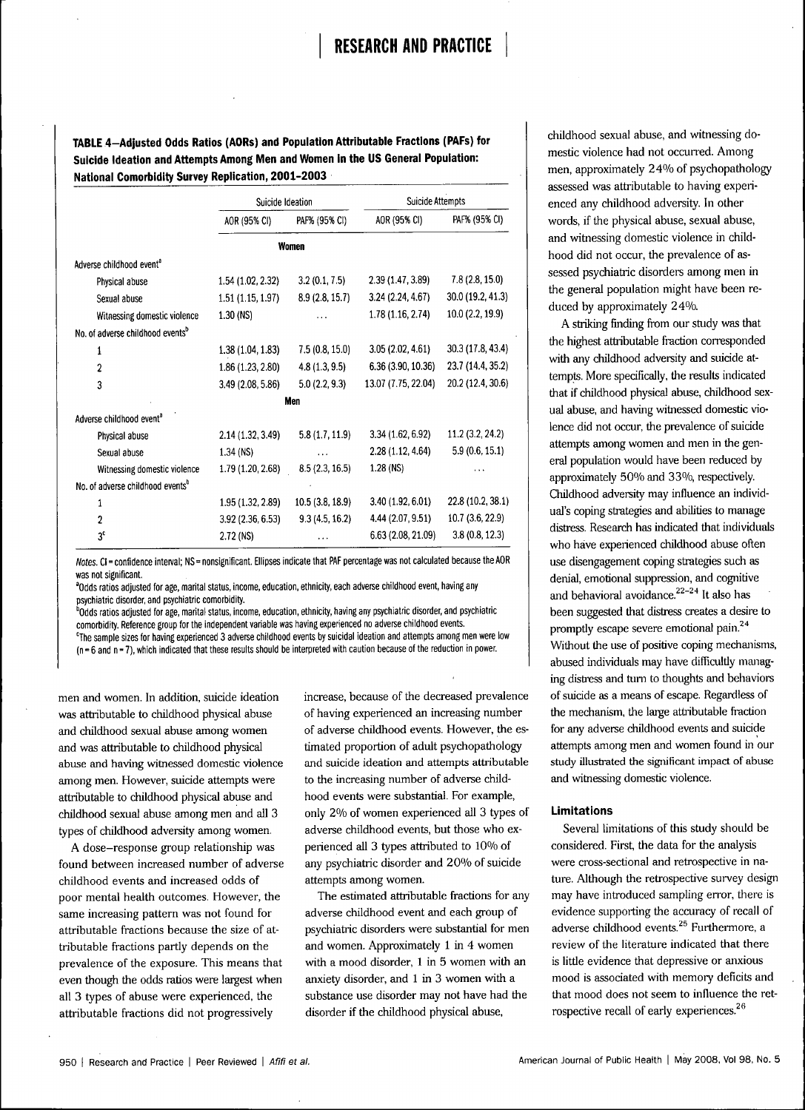TABLE 4-Adjusted Odds Ratios (AORs) and Population Attributable Fractions (PAFs) for Suicide Ideation and Attempts Among Men and Women in the US General Population: **National Comorbidity Survey Replication, 2001-2003** 

|                                              | Suicide Ideation  |                  | <b>Suicide Attempts</b> |                   |
|----------------------------------------------|-------------------|------------------|-------------------------|-------------------|
|                                              | AOR (95% CI)      | PAF% (95% CI)    | AOR (95% CI)            | PAF% (95% CI)     |
|                                              |                   | Women            |                         |                   |
| Adverse childhood event <sup>a</sup>         |                   |                  |                         |                   |
| Physical abuse                               | 1.54 (1.02, 2.32) | 3.2(0.1, 7.5)    | 2.39 (1.47, 3.89)       | 7.8(2.8, 15.0)    |
| Sexual abuse                                 | 1.51(1.15, 1.97)  | 8.9 (2.8, 15.7)  | 3.24(2.24, 4.67)        | 30.0 (19.2, 41.3) |
| Witnessing domestic violence                 | $1.30$ (NS)       |                  | 1.78 (1.16, 2.74)       | 10.0 (2.2, 19.9)  |
| No. of adverse childhood events <sup>b</sup> |                   |                  |                         |                   |
| 1                                            | 1.38(1.04, 1.83)  | 7.5(0.8, 15.0)   | 3.05(2.02, 4.61)        | 30.3 (17.8, 43.4) |
| $\overline{c}$                               | 1.86 (1.23, 2.80) | 4.8(1.3, 9.5)    | 6.36 (3.90, 10.36)      | 23.7 (14.4, 35.2) |
| 3                                            | 3.49 (2.08, 5.86) | 5.0(2.2, 9.3)    | 13.07 (7.75, 22.04)     | 20.2 (12.4, 30.6) |
|                                              |                   | Men              |                         |                   |
| Adverse childhood event <sup>a</sup>         |                   |                  |                         |                   |
| Physical abuse                               | 2.14 (1.32, 3.49) | 5.8(1.7, 11.9)   | 3.34(1.62, 6.92)        | 11.2(3.2, 24.2)   |
| Sexual abuse                                 | 1.34 (NS)         |                  | 2.28 (1.12, 4.64)       | 5.9(0.6, 15.1)    |
| Witnessing domestic violence                 | 1.79 (1.20, 2.68) | 8.5(2.3, 16.5)   | 1.28 (NS)               | .                 |
| No. of adverse childhood events <sup>b</sup> |                   |                  |                         |                   |
| 1                                            | 1.95 (1.32, 2.89) | 10.5 (3.8, 18.9) | 3.40 (1.92, 6.01)       | 22.8 (10.2, 38.1) |
| $\overline{2}$                               | 3.92 (2.36, 6.53) | 9.3(4.5, 16.2)   | 4.44 (2.07, 9.51)       | 10.7 (3.6, 22.9)  |
| 3 <sup>c</sup>                               | 2.72 (NS)         | .                | 6.63 (2.08, 21.09)      | 3.8(0.8, 12.3)    |

Notes. CI = confidence interval; NS = nonsignificant. Ellipses indicate that PAF percentage was not calculated because the AOR was not significant.

<sup>a</sup>Odds ratios adjusted for age, marital status, income, education, ethnicity, each adverse childhood event, having any psychiatric disorder, and psychiatric comorbidity.

<sup>b</sup>Odds ratios adjusted for age, marital status, income, education, ethnicity, having any psychiatric disorder, and psychiatric comorbidity. Reference group for the independent variable was having experienced no adverse childhood events. <sup>c</sup>The sample sizes for having experienced 3 adverse childhood events by suicidal ideation and attempts among men were low (n = 6 and n = 7), which indicated that these results should be interpreted with caution because of the reduction in power.

men and women. In addition, suicide ideation was attributable to childhood physical abuse and childhood sexual abuse among women and was attributable to childhood physical abuse and having witnessed domestic violence among men. However, suicide attempts were attributable to childhood physical abuse and childhood sexual abuse among men and all 3 types of childhood adversity among women.

A dose-response group relationship was found between increased number of adverse childhood events and increased odds of poor mental health outcomes. However, the same increasing pattern was not found for attributable fractions because the size of attributable fractions partly depends on the prevalence of the exposure. This means that even though the odds ratios were largest when all 3 types of abuse were experienced, the attributable fractions did not progressively

increase, because of the decreased prevalence of having experienced an increasing number of adverse childhood events. However, the estimated proportion of adult psychopathology and suicide ideation and attempts attributable to the increasing number of adverse childhood events were substantial. For example, only 2% of women experienced all 3 types of adverse childhood events, but those who experienced all 3 types attributed to 10% of any psychiatric disorder and 20% of suicide attempts among women.

The estimated attributable fractions for any adverse childhood event and each group of psychiatric disorders were substantial for men and women. Approximately 1 in 4 women with a mood disorder, 1 in 5 women with an anxiety disorder, and 1 in 3 women with a substance use disorder may not have had the disorder if the childhood physical abuse,

childhood sexual abuse, and witnessing domestic violence had not occurred. Among men, approximately 24% of psychopathology assessed was attributable to having experienced any childhood adversity. In other words, if the physical abuse, sexual abuse, and witnessing domestic violence in childhood did not occur, the prevalence of assessed psychiatric disorders among men in the general population might have been reduced by approximately 24%.

A striking finding from our study was that the highest attributable fraction corresponded with any childhood adversity and suicide attempts. More specifically, the results indicated that if childhood physical abuse, childhood sexual abuse, and having witnessed domestic violence did not occur, the prevalence of suicide attempts among women and men in the general population would have been reduced by approximately 50% and 33%, respectively. Childhood adversity may influence an individual's coping strategies and abilities to manage distress. Research has indicated that individuals who have experienced childhood abuse often use disengagement coping strategies such as denial, emotional suppression, and cognitive and behavioral avoidance. $22-24$  It also has been suggested that distress creates a desire to promptly escape severe emotional pain.<sup>24</sup> Without the use of positive coping mechanisms, abused individuals may have difficultly managing distress and turn to thoughts and behaviors of suicide as a means of escape. Regardless of the mechanism, the large attributable fraction for any adverse childhood events and suicide attempts among men and women found in our study illustrated the significant impact of abuse and witnessing domestic violence.

# **Limitations**

Several limitations of this study should be considered. First, the data for the analysis were cross-sectional and retrospective in nature. Although the retrospective survey design may have introduced sampling error, there is evidence supporting the accuracy of recall of adverse childhood events.<sup>25</sup> Furthermore, a review of the literature indicated that there is little evidence that depressive or anxious mood is associated with memory deficits and that mood does not seem to influence the retrospective recall of early experiences.<sup>26</sup>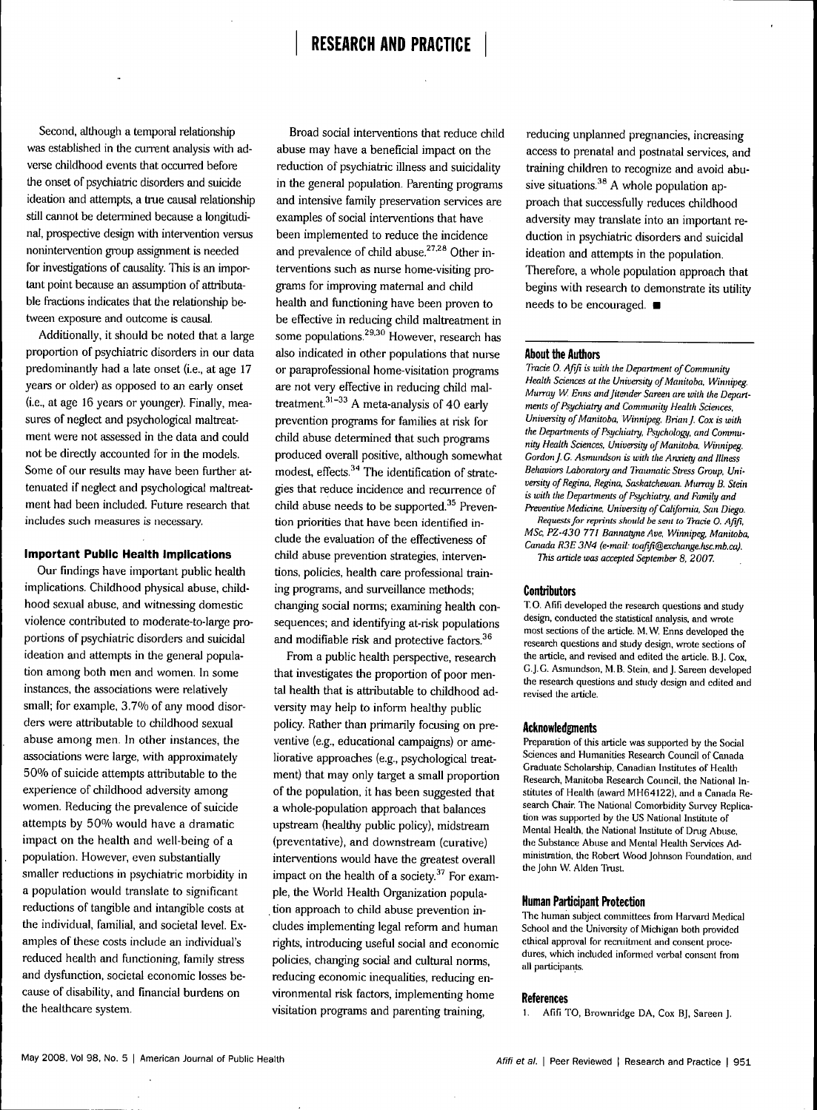Second, although a temporal relationship was established in the current analysis with adverse childhood events that occurred before the onset of psychiatric disorders and suicide ideation and attempts, a true causal relationship still cannot be determined because a longitudinal, prospective design with intervention versus nonintervention group assignment is needed for investigations of causality. This is an important point because an assumption of attributable fractions indicates that the relationship between exposure and outcome is causal.

Additionally, it should be noted that a large proportion of psychiatric disorders in our data predominantly had a late onset (i.e., at age 17 years or older) as opposed to an early onset (i.e., at age 16 years or younger). Finally, measures of neglect and psychological maltreatment were not assessed in the data and could not be directly accounted for in the models. Some of our results may have been further attenuated if neglect and psychological maltreatment had been included. Future research that includes such measures is necessary.

#### **Important Public Health Implications**

Our findings have important public health implications. Childhood physical abuse, childhood sexual abuse, and witnessing domestic violence contributed to moderate-to-large proportions of psychiatric disorders and suicidal ideation and attempts in the general population among both men and women. In some instances, the associations were relatively small; for example, 3.7% of any mood disorders were attributable to childhood sexual abuse among men. In other instances, the associations were large, with approximately 50% of suicide attempts attributable to the experience of childhood adversity among women. Reducing the prevalence of suicide attempts by 50% would have a dramatic impact on the health and well-being of a population. However, even substantially smaller reductions in psychiatric morbidity in a population would translate to significant reductions of tangible and intangible costs at the individual, familial, and societal level. Examples of these costs include an individual's reduced health and fimctioning, family stress and dysfunction, societal economic losses because of disability, and financial burdens on the healthcare system.

Broad social interventions that reduce child abuse may have a beneficial impact on the reduction of psychiatric illness and suicidaiity in the general population. Parenting programs and intensive family preservation services are examples of social interventions that have been implemented to reduce the incidence and prevalence of child abuse. $27.28$  Other interventions such as nurse home-visiting programs for improving maternal and child health and functioning have been proven to be effective in reducing child maltreatment in some populations.<sup>29,30</sup> However, research has also indicated in other populations that nurse or paraprofessional home-visitation programs are not very effective in reducing child maltreatment. $31-33$  A meta-analysis of 40 early prevention programs for families at risk for child abuse determined that such programs produced overall positive, although somewhat modest, effects. $34$  The identification of strategies that reduce incidence and recurrence of child abuse needs to be supported. $35$  Prevention priorities that have been identified include the evaluation of the effectiveness of child abuse prevention strategies, interventions, policies, health care professional training programs, and surveillance methods; changing social norms; examining health consequences; and identifying at-risk populations and modifiable risk and protective factors. $36$ 

From a public health perspective, research that investigates the proportion of poor mental health that is attributable to childhood adversity may help to inform healthy public policy. Rather than primarily focusing on preventive (e.g., educational campaigns) or ameliorative approaches (e.g., psychological treatment) that may only target a small proportion of the population, it has been suggested that a whole-population approach that balances upstream (healthy public policy), midstream (preventative), and downstream (curative) interventions would have the greatest overall impact on the health of a society. $37$  For example, the World Health Organization population approach to child abuse prevention includes implementing legal reform and human rights, introducing useful social and economic policies, changing social and cultural norms, reducing economic inequalities, reducing environmental risk factors, implementing home visitation programs and parenting training.

reducing unplanned pregnancies, increasing access to prenatal and postnatal services, and training children to recognize and avoid abusive situations. $38$  A whole population approach that successfully reduces childhood adversity may translate into an important reduction in psychiatric disorders and suicidal ideation and attempts in the population. Therefore, a whole population approach that begins with research to demonstrate its utility needs to be encouraged.  $\blacksquare$ 

#### **About the Authors**

*Trade 0. Afifi is with the Department of Community Health Sciences at the University of Manitoba, Winnipeg. Murray W. Enns and Jitender Sareen are with the Departments of Psychiatry and Community Health Sciences, University of Manitoba, Winnipeg. Brian J. Cox is with the Departments of Psychiatry, Psychology, and Community Health Sciences, University of Manitoba, Winnipeg. Gordon f.* G. *Asmundson is with the An.xiety and Illness Behaviors Laboratory and Traumatic Stress Croup, University of Regina, Regina, Saskatchewan. Murray B. Stein is with the Departments of Psychiatry, and Family and Preventive Medicine. University of California, San Diego. Requests for reprints should be sent to Trade 0. Afifi,*

*MSc, PZ-430 771 Bannatyne Ave, Winnipeg, Manitoba, Canada R3E 3N4 (e-mail: toafifi@exchange.hsc.mb.ca). This article was accepted September 8, 2007.*

#### **Contributors**

T. 0. Afifi developed the research questions and study design, conducted the statistical analysis, and wrote most sections of the article. M. W. Enns developed the research questions and study design, wrote sections of the article, and revised and edited the article. B.J. Cox, G.J.G. Asmundson, M. B. Stein, and J. Sareen developed the research questions and study design and edited and revised the article.

#### **Acknowledgments**

Preparation of this article was supported by the Social Sciences and Humanities Research Council of Canada Graduate Scholarship, Canadian Institutes of Health Research, Manitoba Research Council, the National Institutes of Health (award MH64122), and a Canada Research Chair. The National Comorbidity Survey Replication was supported by the US National Institute of Mental Health, the National Institute of Drug Abuse. the Substance Abuse and Mental Health Services Administration, the Robert Wood Johnson Foundation, and the John W. Alden Trust.

### **Human Participant Protection**

The human subject committees from Harvard Medical School and the University of Michigan both provided ethical approval for recruitment and consent procedures, which included informed verbal consent from all participants.

#### **References**

1. Afifi TO, Brownridge DA, Cox BJ, Sareen J.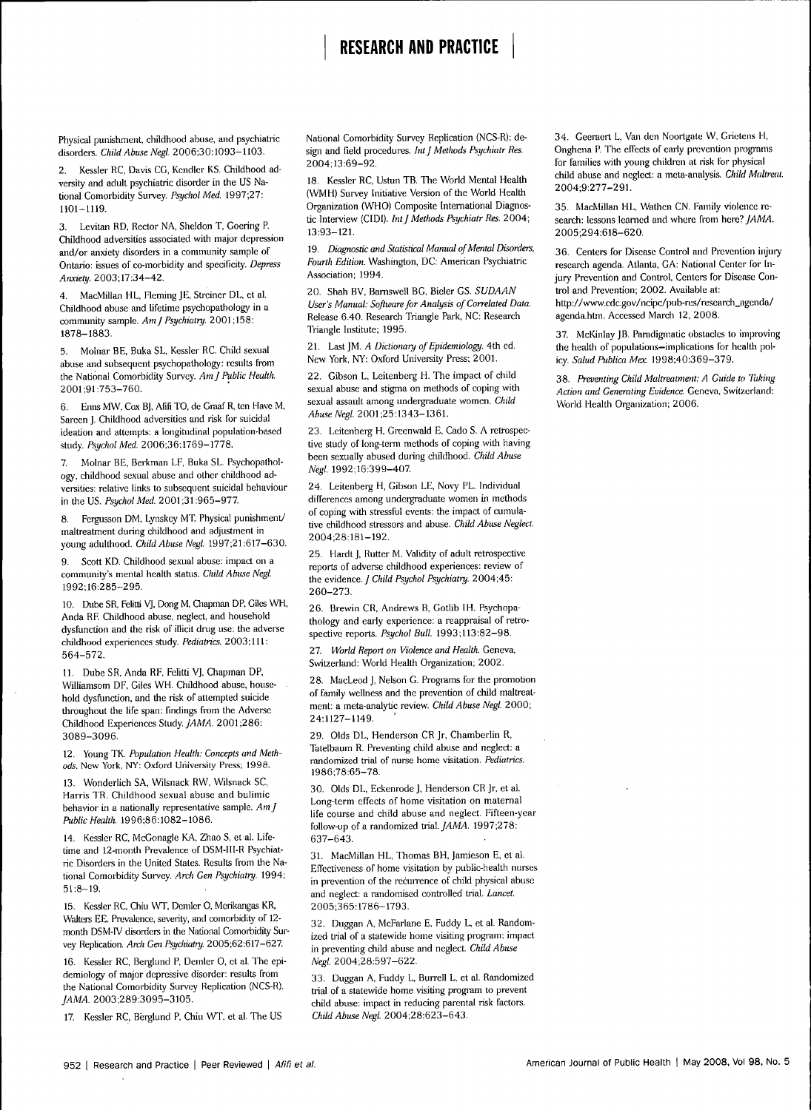# **RESEARCH AND PRACTICE**

Physical punishment, childhood abuse, and psychiatric disorders. *Child Abuse Negl.* 2006;30:1093-1103.

2. Kessler RC, Davis CG, Kendler KS. Childhood adversity and adult psychiatric disorder in the US National Comorbidity Survey. *Psychol Med.* 1997;27: 1101-1119.

3. Levitan RD, Rector NA, Sheldon T, Coering P. Childhood adversities associated with major depression and/or anxiety disorders in a community sample of Ontario: issues of co-morbidity and specificity. *Depress Anxiety.* 2003;17:34-42.

4. MacMillan HL, Fleming JE, Streiner DL, et al. Childhood abuse and lifetime psychopathology in a community sample. *AmJ Psychiatry.* 2001;158: 1878-1883.

5. Molnar BE, Buka SL, Kessler RC. Child sexual abuse and subsequent psychopathology: results from the National Comorbidity Survey. *AmJ Public Health.* 2001;91:753-760.

6. Enns MW, Cox BJ, Afifi TO, de Graaf R, ten Have M, Sareen J. Childhood adversities and risk for suicidal ideation and attempts: a longitudinal population-based study. *Psychol Med* 2006,36:1769-1778.

7. Molnar BE, Berkman LF, Buka SL. Psychopathology, childhood sexual abuse and other childhood adversities: relative links to subsequent suicidal behaviour in the US. *Psychol Med* 2001 ;31:965-977

8. Fergusson DM, Lynskey MT. Physical punishment/ maltreatment during childhood and adjustment in young adulthood. *Child Abuse Negl.* 1997,21:617-630.

9. Scott KD. Childhood sexual abuse: impact on a community's mental health status. *Child Abuse Negl.* 1992;16:285-295.

10. Dube SR, Felitti VJ, Dong M, Qiapman DP, Giles Wll, Anda RF. Childhood abuse, neglect, and household dysfunction and the risk of illicit drug use: the adverse childhood experiences study. *Pediatrics.* 2003;lll: 564-572.

11. Dube SR, Anda RF, Felitti VJ, Chapman DP, Williamsom DF, Giles WH. Childhood abuse, household dysfunction, and the risk of attempted suicide throughout the life span: findings from the Adverse Childhood Experiences *Study. JAMA.* 2001 ;286: 3089-3096.

12. Young TK. *Population Health: Concepts and Methods.* New York, NY: Oxford University Press; 1998.

13. Wonderlich SA, Wilsnack RW, Wilsnack SC, Harris TR. Childhood sexual abuse and bulimic behavior in a nationally representative sample. *AmJ Public Health.* 1996;86:1082-1086.

14. Kessler RC, McGonagle KA, Zhao S, et al. Lifetime and 12-month Prevalence of DSM-111-R Psychiatric Disorders in the United States. Results from the National Comorbidity Survey. *Arch Gen Psychiatry.* 1994; 51:8-19.

15. Kessler RC, Chiu WT, Demler 0, Merikangas KR, Walters EE. Prevalence, severity, and comorbidity of 12month DSM-fV disorders in the National Comorbidity Survey Replication. *Arch Gen Psychiatry.* 2005:62:617-627

16. Kessler RC, Berglund P, Demler O, et al. The epidemiology of major depressive disorder: results from the National Comorbidity Survey Replication (NCS-R). *JAMA.* 2003;289;3095-3105.

17. Kessler RC, Berglund P, Chiu WT, et al. The US

National Comorbidity Survey Replication (NCS-R); design and field procedures. Int J Methods Psychiatr Res. 2004;13;69-92.

18. Kessler RC, Ustun TB. The Worid Mental Health (WMH) Survey Initiative Version of the Worid Health Organization (WHO) Composite Intemational Diagnostic Interview (CIDI). *Int J Methods Psychiatr Res.* 2004; 13:93-121.

19. *Diagnostic and Statistical Manual of Mental Disorders, Fourth Edition.* Washington, DC: American Psychiatric Association; 1994.

20. Shah BV, Bamswell BG, Bieler GS. *SUDAAN User's Manual: Software for Analysis of Correlated Data.* Release 6.40. Research Triangle Park, NC: Research Triangle Institute; 1995.

21. Last JM. *A Dictionary of Epidemiology.* 4th ed. New York, NY: Oxford University Press; 2001.

22. Gibson L, Leitenberg H. The impact of child sexual abuse and stigma on methods of coping with sexual assault among undergraduate women. *Child AbuseNegl.* 2001;25;1343-1361.

23. Leitenberg H, Greenwald E, Cado S. A retrospective study of long-term methods of coping with having been sexually abused during childhood. *Child Abuse Negl.* 1992;16;399-407

24. Leitenberg H, Gibson LE, Novy PL. Individual differences among undergraduate women in methods of coping with stressful events: the impact of cumulative childhood Stressors and abuse. *Child Abuse Neglect.* 2004;28;181-192.

25. Hardt J, Rutter M. Validity of adult retrospective reports of adverse childhood experiences: review of the *evidence. J Child Psychol Psychiatry.* 2004;45: 260-273.

26. Brewin CR, Andrews B, Gotlib IH. Psycbopathology and early experience: a reappraisal of retrospective reports. *Psychol Bull.* 1993;113:82-98.

27. *World Report on Violence and Health.* Geneva, Switzeriand: Worid Health Organization; 2002.

28. MacLeod J, Nelson G. Programs for the promotion of family Wellness and the prevention of child maltreatment: a meta-analytic review. *Child Abuse Negl.* 2000; 24:1127-1149.

29. Olds DL, Henderson CR Jr, Chamberlin R, Tatelbaum R. Preventing child abuse and neglect: a randomized trial of nurse home visitation. *Pediatrics.* 1986;78:65-78.

30. Olds DL, Eckenrode J, Henderson CR Jr, et al. Long-term effects of home visitation on maternal life course and child abuse and neglect. Fifteen-year follow-up of a randomized *tria]. JAMA.* 1997;278: 637-643.

31. MacMillan HL, Thomas BH, Jamieson E, et al. Effectiveness of home visitation by public-health nurses in prevention of the recurrence of child physical abuse and neglect: a randomised controlled trial. *Lancet.* 2005;365:1786-1793.

32. Duggan A, McFarlane E, Fuddy L, et al. Randomized trial of a statewide home visiting program: impact in preventing child abuse and neglect. *Child Abuse Negl.* 2004:28:597-622.

33. Duggan A, Fuddy L, Burrell L, et al. Randomized trial of a statewide home visiting program to prevent child abuse: impact in reducing parental risk factors. *Child Abuse Negl.* 2004;28:623-643.

34. Geeraert L, Van den Noortgate W, Grietens H, Onghena P. The effects of early prevention programs for families with young children at risk for physical child abuse and neglect: a meta-analysis. *Child Maltreat.* 2004;9:277-291.

35. MacMillan HL, Wathen CN. Family violence research: lessons learned and where from here? *JAMA*. 2005,294:618-620.

36. Centers for Disease Control and Prevention injury research agenda. Atlanta, GA: National Center for Injury Prevention and Control, Centers for Disease Control and Prevention; 2002. Available at: http://www.cdc.gov/ncipc/pub-res/research\_agenda/ agenda.htm. Accessed March 12, 2008.

37. McKinlay JB. Paradigmatic obstacles to improving the health of populations-implications for health policy *Salud Publica Mex.* 1998;40:369-379.

38. *Preventing Child Maltreatment: A Guide to Taking Action and Generating Evidence.* Geneva, Switzerland: Worid Health Organization; 2006.